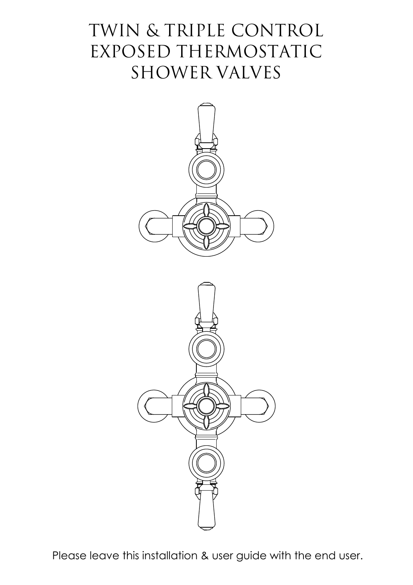# TWIN & TRIPLE CONTROL EXPOSED THERMOSTATIC SHOWER VALVES



Please leave this installation & user guide with the end user.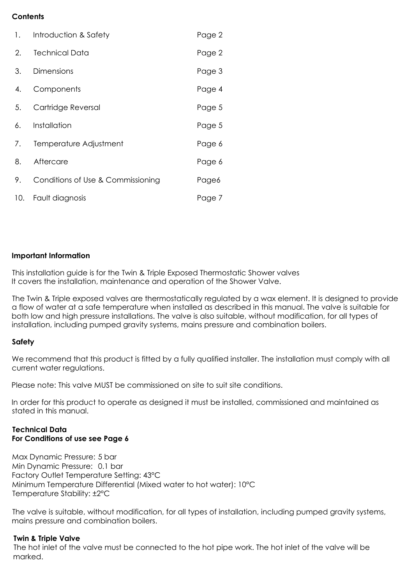## **Contents**

| 1.  | Introduction & Safety             | Page 2 |
|-----|-----------------------------------|--------|
| 2.  | <b>Technical Data</b>             | Page 2 |
| 3.  | <b>Dimensions</b>                 | Page 3 |
| 4.  | Components                        | Page 4 |
| 5.  | Cartridge Reversal                | Page 5 |
| 6.  | Installation                      | Page 5 |
| 7.  | Temperature Adjustment            | Page 6 |
| 8.  | Aftercare                         | Page 6 |
| 9.  | Conditions of Use & Commissioning | Page6  |
| 10. | Fault diagnosis                   | Page 7 |

#### **Important Information**

This installation guide is for the Twin & Triple Exposed Thermostatic Shower valves It covers the installation, maintenance and operation of the Shower Valve.

The Twin & Triple exposed valves are thermostatically regulated by a wax element. It is designed to provide a flow of water at a safe temperature when installed as described in this manual. The valve is suitable for both low and high pressure installations. The valve is also suitable, without modification, for all types of installation, including pumped gravity systems, mains pressure and combination boilers.

### **Safety**

We recommend that this product is fitted by a fully qualified installer. The installation must comply with all current water regulations.

Please note: This valve MUST be commissioned on site to suit site conditions.

In order for this product to operate as designed it must be installed, commissioned and maintained as stated in this manual.

#### **Technical Data For Conditions of use see Page 6**

Max Dynamic Pressure: 5 bar Min Dynamic Pressure: 0.1 bar Factory Outlet Temperature Setting: 43°C Minimum Temperature Differential (Mixed water to hot water): 10°C Temperature Stability: ±2°C

The valve is suitable, without modification, for all types of installation, including pumped gravity systems, mains pressure and combination boilers.

### **Twin & Triple Valve**

The hot inlet of the valve must be connected to the hot pipe work. The hot inlet of the valve will be marked.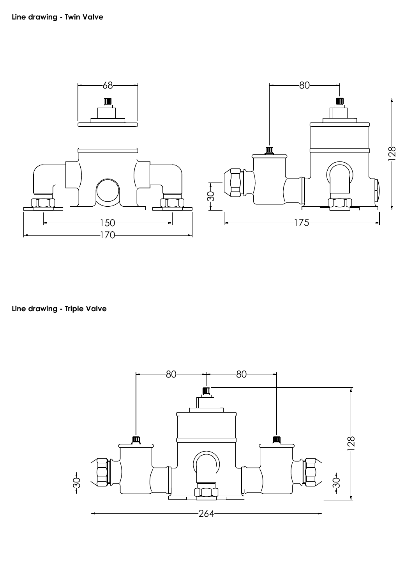

**Line drawing - Triple Valve**

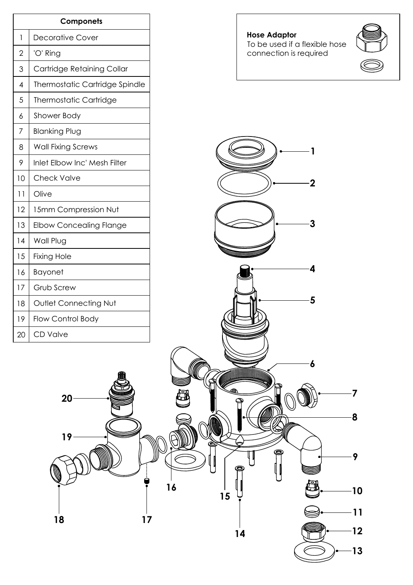| Componets      |                                |  |  |  |
|----------------|--------------------------------|--|--|--|
| 1              | <b>Decorative Cover</b>        |  |  |  |
| $\overline{2}$ | 'O' Ring                       |  |  |  |
| 3              | Cartridge Retaining Collar     |  |  |  |
| 4              | Thermostatic Cartridge Spindle |  |  |  |
| 5              | <b>Thermostatic Cartridge</b>  |  |  |  |
| 6              | Shower Body                    |  |  |  |
| 7              | <b>Blanking Plug</b>           |  |  |  |
| 8              | <b>Wall Fixing Screws</b>      |  |  |  |
| 9              | Inlet Elbow Inc' Mesh Filter   |  |  |  |
| 10             | <b>Check Valve</b>             |  |  |  |
| 11             | Olive                          |  |  |  |
| 12             | 15mm Compression Nut           |  |  |  |
| 13             | <b>Elbow Concealing Flange</b> |  |  |  |
| 14             | Wall Plug                      |  |  |  |
| 15             | <b>Fixing Hole</b>             |  |  |  |
| 16             | <b>Bayonet</b>                 |  |  |  |
| 17             | Grub Screw                     |  |  |  |
| 18             | Outlet Connecting Nut          |  |  |  |
| 19             | Flow Control Body              |  |  |  |
| 20             | CD Valve                       |  |  |  |

## **Hose Adaptor** To be used if a flexible hose  $\Box$ connection is required



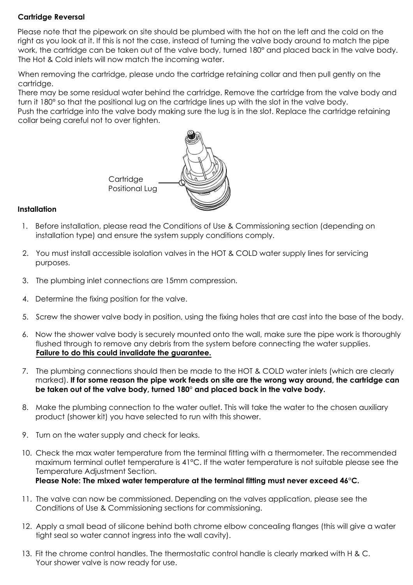## **Cartridge Reversal**

Please note that the pipework on site should be plumbed with the hot on the left and the cold on the right as you look at it. If this is not the case, instead of turning the valve body around to match the pipe work, the cartridge can be taken out of the valve body, turned 180° and placed back in the valve body. The Hot & Cold inlets will now match the incoming water.

When removing the cartridge, please undo the cartridge retaining collar and then pull gently on the cartridge.

There may be some residual water behind the cartridge. Remove the cartridge from the valve body and turn it 180° so that the positional lug on the cartridge lines up with the slot in the valve body.

Push the cartridge into the valve body making sure the lug is in the slot. Replace the cartridge retaining collar being careful not to over tighten.



## **Installation**

- 1. Before installation, please read the Conditions of Use & Commissioning section (depending on installation type) and ensure the system supply conditions comply.
- 2. You must install accessible isolation valves in the HOT & COLD water supply lines for servicing purposes.
- 3. The plumbing inlet connections are 15mm compression.
- 4. Determine the fixing position for the valve.
- 5. Screw the shower valve body in position, using the fixing holes that are cast into the base of the body.
- 6. Now the shower valve body is securely mounted onto the wall, make sure the pipe work is thoroughly flushed through to remove any debris from the system before connecting the water supplies. **Failure to do this could invalidate the guarantee.**
- 7. The plumbing connections should then be made to the HOT & COLD water inlets (which are clearly marked). **If for some reason the pipe work feeds on site are the wrong way around, the cartridge can** be taken out of the valve body, turned 180° and placed back in the valve body.
- 8. Make the plumbing connection to the water outlet. This will take the water to the chosen auxiliary product (shower kit) you have selected to run with this shower.
- 9. Turn on the water supply and check for leaks.
- 10. Check the max water temperature from the terminal fitting with a thermometer. The recommended maximum terminal outlet temperature is 41°C. If the water temperature is not suitable please see the Temperature Adjustment Section. Please Note: The mixed water temperature at the terminal fitting must never exceed 46°C.
- 11. The valve can now be commissioned. Depending on the valves application, please see the Conditions of Use & Commissioning sections for commissioning.
- 12. Apply a small bead of silicone behind both chrome elbow concealing flanges (this will give a water tight seal so water cannot ingress into the wall cavity).
- 13. Fit the chrome control handles. The thermostatic control handle is clearly marked with H & C. Your shower valve is now ready for use.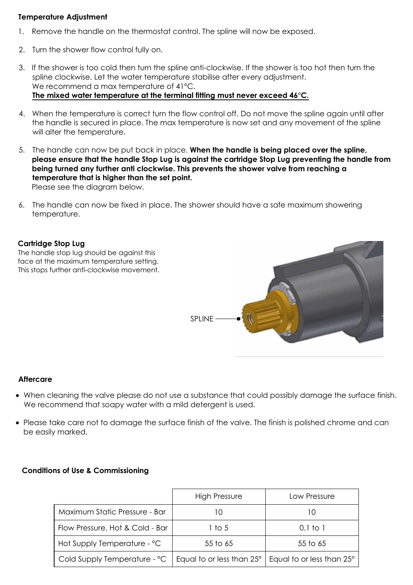## **Temperature Adjustment**

- 1. Remove the handle on the thermostat control. The spline will now be exposed.
- 2. Turn the shower flow control fully on.
- 3. If the shower is too cold then turn the spline anti-clockwise. If the shower is too hot then turn the spline clockwise. Let the water temperature stabilise after every adjustment. We recommend a max temperature of 41°C. The mixed water temperature at the terminal fitting must never exceed 46°C.
- 4. When the temperature is correct turn the flow control off. Do not move the spline again until after the handle is secured in place. The max temperature is now set and any movement of the spline will alter the temperature.
- 5. The handle can now be put back in place. **When the handle is being placed over the spline, please ensure that the handle Stop Lug is against the cartridge Stop Lug preventing the handle from being turned any further anti clockwise. This prevents the shower valve from reaching a temperature that is higher than the set point.** Please see the diagram below.
- 6. The handle can now be fixed in place. The shower should have a safe maximum showering temperature.

#### **Cartridge Stop Lug**

The handle stop lug should be against this face at the maximum temperature setting. This stops further anti-clockwise movement.



#### **Aftercare**

- · When cleaning the valve please do not use a substance that could possibly damage the surface finish. We recommend that soapy water with a mild detergent is used.
- · Please take care not to damage the surface finish of the valve. The finish is polished chrome and can be easily marked.

#### **Conditions of Use & Commissioning**

|                                 | <b>High Pressure</b>      | Low Pressure              |
|---------------------------------|---------------------------|---------------------------|
| Maximum Static Pressure - Bar   | IÜ                        |                           |
| Flow Pressure, Hot & Cold - Bar | 1 to 5                    | 0.1 to 1                  |
| Hot Supply Temperature - °C     | 55 to 65                  | 55 to 65                  |
| Cold Supply Temperature - °C    | Equal to or less than 25° | Equal to or less than 25° |